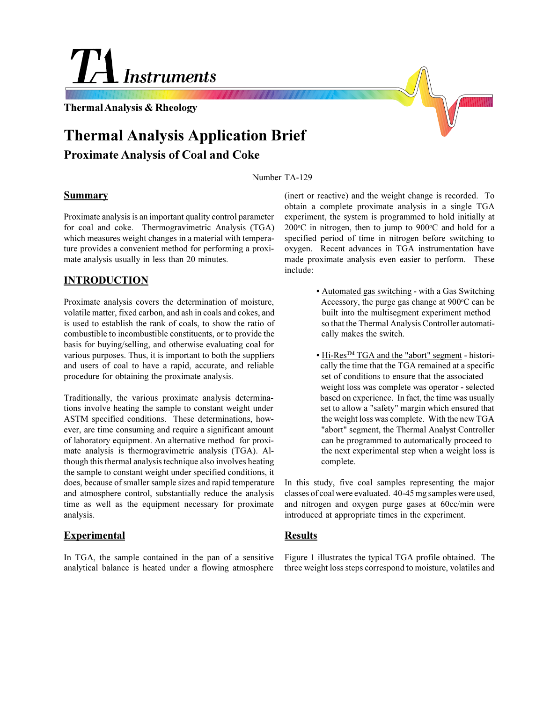# **Instruments**

**Thermal Analysis & Rheology**

## **Thermal Analysis Application Brief**

#### **Proximate Analysis of Coal and Coke**

Number TA-129

#### **Summary**

Proximate analysis is an important quality control parameter for coal and coke. Thermogravimetric Analysis (TGA) which measures weight changes in a material with temperature provides a convenient method for performing a proximate analysis usually in less than 20 minutes.

#### **INTRODUCTION**

Proximate analysis covers the determination of moisture, volatile matter, fixed carbon, and ash in coals and cokes, and is used to establish the rank of coals, to show the ratio of combustible to incombustible constituents, or to provide the basis for buying/selling, and otherwise evaluating coal for various purposes. Thus, it is important to both the suppliers and users of coal to have a rapid, accurate, and reliable procedure for obtaining the proximate analysis.

Traditionally, the various proximate analysis determinations involve heating the sample to constant weight under ASTM specified conditions. These determinations, however, are time consuming and require a significant amount of laboratory equipment. An alternative method for proximate analysis is thermogravimetric analysis (TGA). Although this thermal analysis technique also involves heating the sample to constant weight under specified conditions, it does, because of smaller sample sizes and rapid temperature and atmosphere control, substantially reduce the analysis time as well as the equipment necessary for proximate analysis.

#### **Experimental**

In TGA, the sample contained in the pan of a sensitive analytical balance is heated under a flowing atmosphere (inert or reactive) and the weight change is recorded. To obtain a complete proximate analysis in a single TGA experiment, the system is programmed to hold initially at  $200^{\circ}$ C in nitrogen, then to jump to  $900^{\circ}$ C and hold for a specified period of time in nitrogen before switching to oxygen. Recent advances in TGA instrumentation have made proximate analysis even easier to perform. These include:

- Automated gas switching with a Gas Switching Accessory, the purge gas change at 900°C can be built into the multisegment experiment method so that the Thermal Analysis Controller automati cally makes the switch.
- Hi-Res<sup>TM</sup> TGA and the "abort" segment histori cally the time that the TGA remained at a specific set of conditions to ensure that the associated weight loss was complete was operator - selected based on experience. In fact, the time was usually set to allow a "safety" margin which ensured that the weight loss was complete. With the new TGA "abort" segment, the Thermal Analyst Controller can be programmed to automatically proceed to the next experimental step when a weight loss is complete.

In this study, five coal samples representing the major classes of coal were evaluated. 40-45 mg samples were used, and nitrogen and oxygen purge gases at 60cc/min were introduced at appropriate times in the experiment.

#### **Results**

Figure 1 illustrates the typical TGA profile obtained. The three weight loss steps correspond to moisture, volatiles and